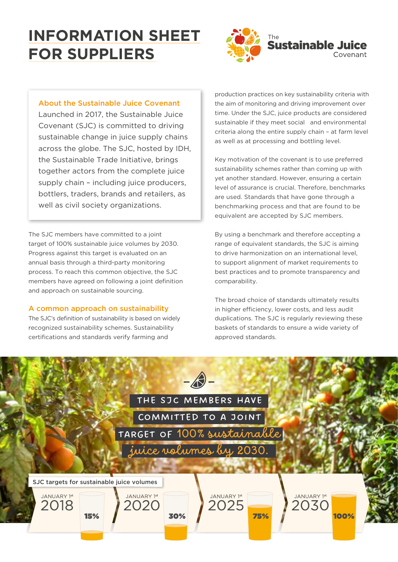# **INFORMATION SHEET FOR SUPPLIERS**



## About the Sustainable Juice Covenant

Launched in 2017, the Sustainable Juice Covenant (SJC) is committed to driving sustainable change in juice supply chains across the globe. The SJC, hosted by IDH, the Sustainable Trade Initiative, brings together actors from the complete juice supply chain – including juice producers, bottlers, traders, brands and retailers, as well as civil society organizations.

The SJC members have committed to a joint target of 100% sustainable juice volumes by 2030. Progress against this target is evaluated on an annual basis through a third-party monitoring process. To reach this common objective, the SJC members have agreed on following a joint definition and approach on sustainable sourcing.

### A common approach on sustainability

The SJC's definition of sustainability is based on widely recognized sustainability schemes. Sustainability certifications and standards verify farming and

production practices on key sustainability criteria with the aim of monitoring and driving improvement over time. Under the SJC, juice products are considered sustainable if they meet social and environmental criteria along the entire supply chain – at farm level as well as at processing and bottling level.

Key motivation of the covenant is to use preferred sustainability schemes rather than coming up with yet another standard. However, ensuring a certain level of assurance is crucial. Therefore, benchmarks are used. Standards that have gone through a benchmarking process and that are found to be equivalent are accepted by SJC members.

By using a benchmark and therefore accepting a range of equivalent standards, the SJC is aiming to drive harmonization on an international level, to support alignment of market requirements to best practices and to promote transparency and comparability.

The broad choice of standards ultimately results in higher efficiency, lower costs, and less audit duplications. The SJC is regularly reviewing these baskets of standards to ensure a wide variety of approved standards.